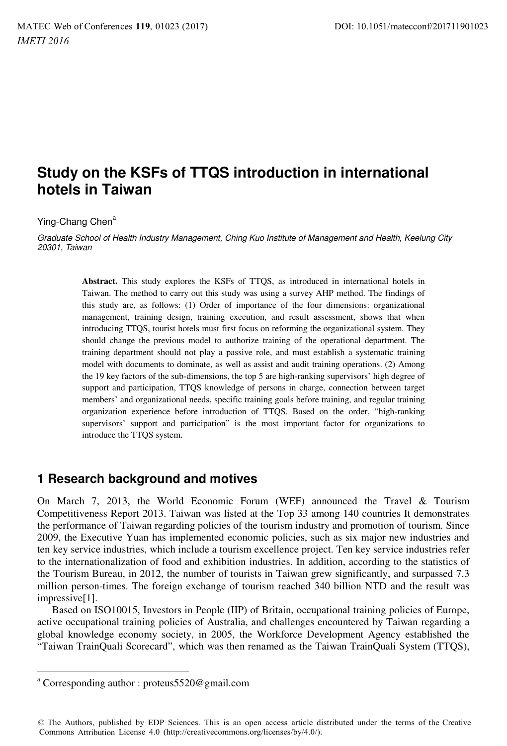# **Study on the KSFs of TTQS introduction in international hotels in Taiwan**

#### Ying-Chang Chen<sup>a</sup>

Graduate School of Health Industry Management, Ching Kuo Institute of Management and Health, Keelung City 20301, Taiwan

> **Abstract.** This study explores the KSFs of TTQS, as introduced in international hotels in Taiwan. The method to carry out this study was using a survey AHP method. The findings of this study are, as follows: (1) Order of importance of the four dimensions: organizational management, training design, training execution, and result assessment, shows that when introducing TTQS, tourist hotels must first focus on reforming the organizational system. They should change the previous model to authorize training of the operational department. The training department should not play a passive role, and must establish a systematic training model with documents to dominate, as well as assist and audit training operations. (2) Among the 19 key factors of the sub-dimensions, the top 5 are high-ranking supervisors' high degree of support and participation, TTQS knowledge of persons in charge, connection between target members' and organizational needs, specific training goals before training, and regular training organization experience before introduction of TTQS. Based on the order, "high-ranking supervisors' support and participation" is the most important factor for organizations to introduce the TTQS system.

## **1 Research background and motives**

On March 7, 2013, the World Economic Forum (WEF) announced the Travel & Tourism Competitiveness Report 2013. Taiwan was listed at the Top 33 among 140 countries It demonstrates the performance of Taiwan regarding policies of the tourism industry and promotion of tourism. Since 2009, the Executive Yuan has implemented economic policies, such as six major new industries and ten key service industries, which include a tourism excellence project. Ten key service industries refer to the internationalization of food and exhibition industries. In addition, according to the statistics of the Tourism Bureau, in 2012, the number of tourists in Taiwan grew significantly, and surpassed 7.3 million person-times. The foreign exchange of tourism reached 340 billion NTD and the result was impressive[1].

Based on ISO10015, Investors in People (IIP) of Britain, occupational training policies of Europe, active occupational training policies of Australia, and challenges encountered by Taiwan regarding a global knowledge economy society, in 2005, the Workforce Development Agency established the "Taiwan TrainQuali Scorecard", which was then renamed as the Taiwan TrainQuali System (TTQS),

 $\overline{a}$ 

a Corresponding author : proteus5520@gmail.com

<sup>©</sup> The Authors, published by EDP Sciences. This is an open access article distributed under the terms of the Creative Commons Attribution License 4.0 (http://creativecommons.org/licenses/by/4.0/).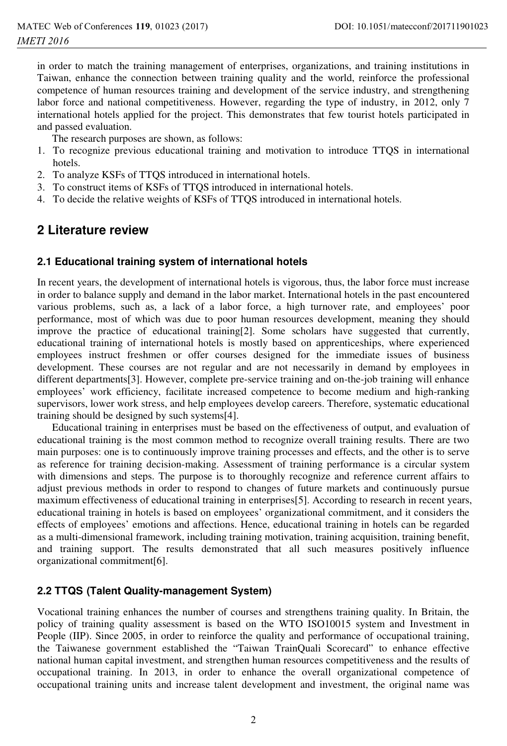in order to match the training management of enterprises, organizations, and training institutions in Taiwan, enhance the connection between training quality and the world, reinforce the professional competence of human resources training and development of the service industry, and strengthening labor force and national competitiveness. However, regarding the type of industry, in 2012, only 7 international hotels applied for the project. This demonstrates that few tourist hotels participated in and passed evaluation.

The research purposes are shown, as follows:

- 1. To recognize previous educational training and motivation to introduce TTQS in international hotels.
- 2. To analyze KSFs of TTQS introduced in international hotels.
- 3. To construct items of KSFs of TTQS introduced in international hotels.
- 4. To decide the relative weights of KSFs of TTQS introduced in international hotels.

## **2 Literature review**

#### **2.1 Educational training system of international hotels**

In recent years, the development of international hotels is vigorous, thus, the labor force must increase in order to balance supply and demand in the labor market. International hotels in the past encountered various problems, such as, a lack of a labor force, a high turnover rate, and employees' poor performance, most of which was due to poor human resources development, meaning they should improve the practice of educational training[2]. Some scholars have suggested that currently, educational training of international hotels is mostly based on apprenticeships, where experienced employees instruct freshmen or offer courses designed for the immediate issues of business development. These courses are not regular and are not necessarily in demand by employees in different departments[3]. However, complete pre-service training and on-the-job training will enhance employees' work efficiency, facilitate increased competence to become medium and high-ranking supervisors, lower work stress, and help employees develop careers. Therefore, systematic educational training should be designed by such systems[4].

Educational training in enterprises must be based on the effectiveness of output, and evaluation of educational training is the most common method to recognize overall training results. There are two main purposes: one is to continuously improve training processes and effects, and the other is to serve as reference for training decision-making. Assessment of training performance is a circular system with dimensions and steps. The purpose is to thoroughly recognize and reference current affairs to adjust previous methods in order to respond to changes of future markets and continuously pursue maximum effectiveness of educational training in enterprises[5]. According to research in recent years, educational training in hotels is based on employees' organizational commitment, and it considers the effects of employees' emotions and affections. Hence, educational training in hotels can be regarded as a multi-dimensional framework, including training motivation, training acquisition, training benefit, and training support. The results demonstrated that all such measures positively influence organizational commitment[6].

#### **2.2 TTQS (Talent Quality-management System)**

Vocational training enhances the number of courses and strengthens training quality. In Britain, the policy of training quality assessment is based on the WTO ISO10015 system and Investment in People (IIP). Since 2005, in order to reinforce the quality and performance of occupational training, the Taiwanese government established the "Taiwan TrainQuali Scorecard" to enhance effective national human capital investment, and strengthen human resources competitiveness and the results of occupational training. In 2013, in order to enhance the overall organizational competence of occupational training units and increase talent development and investment, the original name was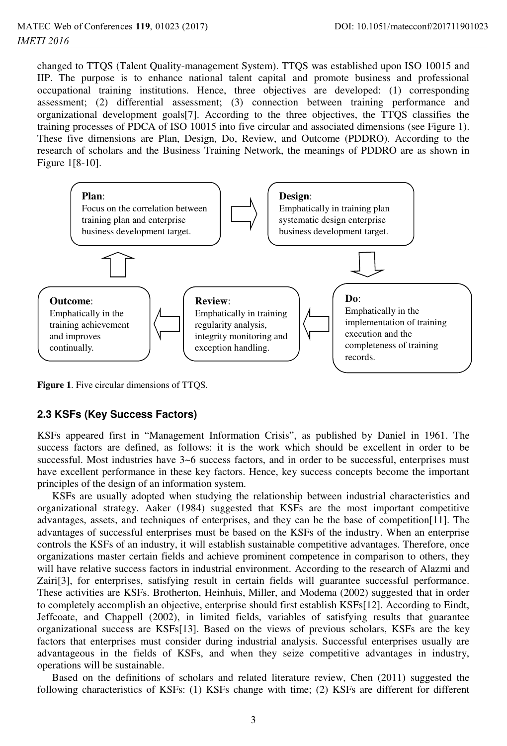changed to TTQS (Talent Quality-management System). TTQS was established upon ISO 10015 and IIP. The purpose is to enhance national talent capital and promote business and professional occupational training institutions. Hence, three objectives are developed: (1) corresponding assessment; (2) differential assessment; (3) connection between training performance and organizational development goals[7]. According to the three objectives, the TTQS classifies the training processes of PDCA of ISO 10015 into five circular and associated dimensions (see Figure 1). These five dimensions are Plan, Design, Do, Review, and Outcome (PDDRO). According to the research of scholars and the Business Training Network, the meanings of PDDRO are as shown in Figure 1[8-10].



**Figure 1**. Five circular dimensions of TTQS.

### **2.3 KSFs (Key Success Factors)**

KSFs appeared first in "Management Information Crisis", as published by Daniel in 1961. The success factors are defined, as follows: it is the work which should be excellent in order to be successful. Most industries have  $3\neg 6$  success factors, and in order to be successful, enterprises must have excellent performance in these key factors. Hence, key success concepts become the important principles of the design of an information system.

KSFs are usually adopted when studying the relationship between industrial characteristics and organizational strategy. Aaker (1984) suggested that KSFs are the most important competitive advantages, assets, and techniques of enterprises, and they can be the base of competition[11]. The advantages of successful enterprises must be based on the KSFs of the industry. When an enterprise controls the KSFs of an industry, it will establish sustainable competitive advantages. Therefore, once organizations master certain fields and achieve prominent competence in comparison to others, they will have relative success factors in industrial environment. According to the research of Alazmi and Zairi[3], for enterprises, satisfying result in certain fields will guarantee successful performance. These activities are KSFs. Brotherton, Heinhuis, Miller, and Modema (2002) suggested that in order to completely accomplish an objective, enterprise should first establish KSFs[12]. According to Eindt, Jeffcoate, and Chappell (2002), in limited fields, variables of satisfying results that guarantee organizational success are KSFs[13]. Based on the views of previous scholars, KSFs are the key factors that enterprises must consider during industrial analysis. Successful enterprises usually are advantageous in the fields of KSFs, and when they seize competitive advantages in industry, operations will be sustainable.

Based on the definitions of scholars and related literature review, Chen (2011) suggested the following characteristics of KSFs: (1) KSFs change with time; (2) KSFs are different for different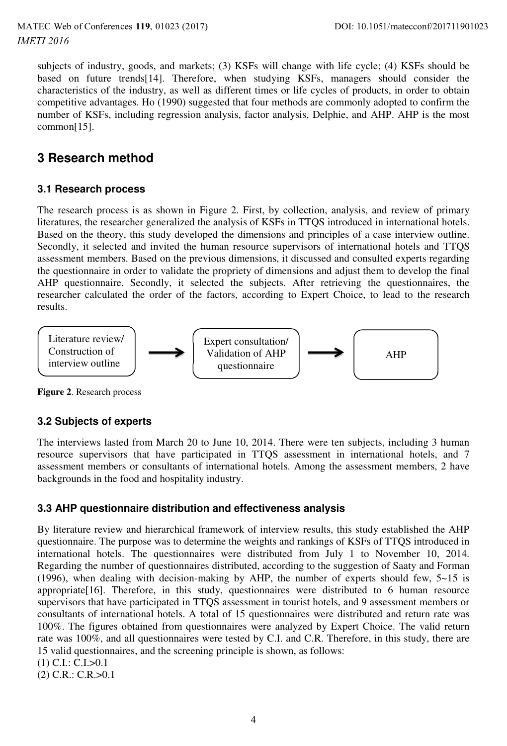subjects of industry, goods, and markets; (3) KSFs will change with life cycle; (4) KSFs should be based on future trends[14]. Therefore, when studying KSFs, managers should consider the characteristics of the industry, as well as different times or life cycles of products, in order to obtain competitive advantages. Ho (1990) suggested that four methods are commonly adopted to confirm the number of KSFs, including regression analysis, factor analysis, Delphie, and AHP. AHP is the most common[15].

# **3 Research method**

### **3.1 Research process**

The research process is as shown in Figure 2. First, by collection, analysis, and review of primary literatures, the researcher generalized the analysis of KSFs in TTQS introduced in international hotels. Based on the theory, this study developed the dimensions and principles of a case interview outline. Secondly, it selected and invited the human resource supervisors of international hotels and TTQS assessment members. Based on the previous dimensions, it discussed and consulted experts regarding the questionnaire in order to validate the propriety of dimensions and adjust them to develop the final AHP questionnaire. Secondly, it selected the subjects. After retrieving the questionnaires, the researcher calculated the order of the factors, according to Expert Choice, to lead to the research results.



**Figure 2**. Research process

### **3.2 Subjects of experts**

The interviews lasted from March 20 to June 10, 2014. There were ten subjects, including 3 human resource supervisors that have participated in TTQS assessment in international hotels, and 7 assessment members or consultants of international hotels. Among the assessment members, 2 have backgrounds in the food and hospitality industry.

### **3.3 AHP questionnaire distribution and effectiveness analysis**

By literature review and hierarchical framework of interview results, this study established the AHP questionnaire. The purpose was to determine the weights and rankings of KSFs of TTQS introduced in international hotels. The questionnaires were distributed from July 1 to November 10, 2014. Regarding the number of questionnaires distributed, according to the suggestion of Saaty and Forman (1996), when dealing with decision-making by AHP, the number of experts should few,  $5~15$  is appropriate[16]. Therefore, in this study, questionnaires were distributed to 6 human resource supervisors that have participated in TTQS assessment in tourist hotels, and 9 assessment members or consultants of international hotels. A total of 15 questionnaires were distributed and return rate was 100%. The figures obtained from questionnaires were analyzed by Expert Choice. The valid return rate was 100%, and all questionnaires were tested by C.I. and C.R. Therefore, in this study, there are 15 valid questionnaires, and the screening principle is shown, as follows:

```
(1) C.I.: C.I.>0.1
```
 $(2)$  C.R.: C.R. $>0.1$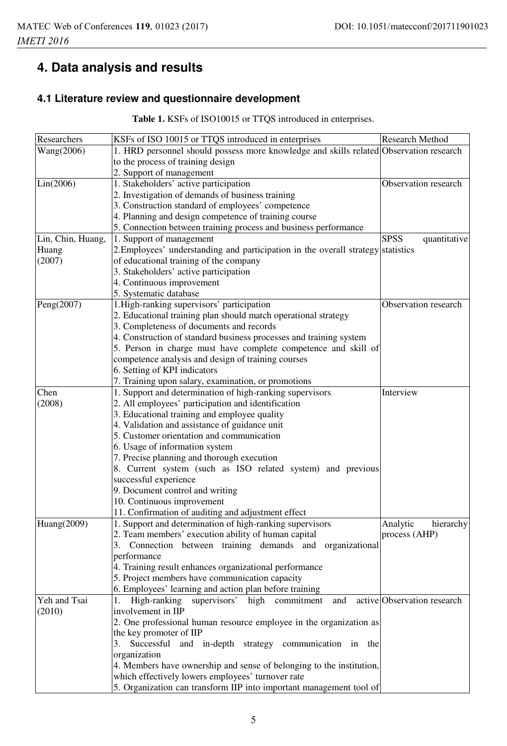# **4. Data analysis and results**

## **4.1 Literature review and questionnaire development**

| Researchers       | KSFs of ISO 10015 or TTQS introduced in enterprises                                    | Research Method             |  |  |  |  |
|-------------------|----------------------------------------------------------------------------------------|-----------------------------|--|--|--|--|
| Wang(2006)        | 1. HRD personnel should possess more knowledge and skills related Observation research |                             |  |  |  |  |
|                   | to the process of training design                                                      |                             |  |  |  |  |
|                   | 2. Support of management                                                               |                             |  |  |  |  |
| Lin(2006)         | 1. Stakeholders' active participation                                                  | Observation research        |  |  |  |  |
|                   | 2. Investigation of demands of business training                                       |                             |  |  |  |  |
|                   | 3. Construction standard of employees' competence                                      |                             |  |  |  |  |
|                   | 4. Planning and design competence of training course                                   |                             |  |  |  |  |
|                   | 5. Connection between training process and business performance                        |                             |  |  |  |  |
| Lin, Chin, Huang, | 1. Support of management                                                               | <b>SPSS</b><br>quantitative |  |  |  |  |
| Huang             | 2. Employees' understanding and participation in the overall strategy statistics       |                             |  |  |  |  |
| (2007)            | of educational training of the company                                                 |                             |  |  |  |  |
|                   | 3. Stakeholders' active participation                                                  |                             |  |  |  |  |
|                   | 4. Continuous improvement                                                              |                             |  |  |  |  |
|                   | 5. Systematic database                                                                 |                             |  |  |  |  |
| Peng $(2007)$     | 1. High-ranking supervisors' participation                                             | Observation research        |  |  |  |  |
|                   | 2. Educational training plan should match operational strategy                         |                             |  |  |  |  |
|                   | 3. Completeness of documents and records                                               |                             |  |  |  |  |
|                   | 4. Construction of standard business processes and training system                     |                             |  |  |  |  |
|                   | 5. Person in charge must have complete competence and skill of                         |                             |  |  |  |  |
|                   | competence analysis and design of training courses                                     |                             |  |  |  |  |
|                   | 6. Setting of KPI indicators                                                           |                             |  |  |  |  |
|                   | 7. Training upon salary, examination, or promotions                                    |                             |  |  |  |  |
| Chen              | 1. Support and determination of high-ranking supervisors<br>Interview                  |                             |  |  |  |  |
| (2008)            | 2. All employees' participation and identification                                     |                             |  |  |  |  |
|                   | 3. Educational training and employee quality                                           |                             |  |  |  |  |
|                   | 4. Validation and assistance of guidance unit                                          |                             |  |  |  |  |
|                   | 5. Customer orientation and communication                                              |                             |  |  |  |  |
|                   | 6. Usage of information system                                                         |                             |  |  |  |  |
|                   | 7. Precise planning and thorough execution                                             |                             |  |  |  |  |
|                   | 8. Current system (such as ISO related system) and previous                            |                             |  |  |  |  |
|                   | successful experience                                                                  |                             |  |  |  |  |
|                   | 9. Document control and writing                                                        |                             |  |  |  |  |
|                   | 10. Continuous improvement                                                             |                             |  |  |  |  |
|                   | 11. Confirmation of auditing and adjustment effect                                     |                             |  |  |  |  |
| Huang(2009)       | 1. Support and determination of high-ranking supervisors                               | Analytic<br>hierarchy       |  |  |  |  |
|                   | 2. Team members' execution ability of human capital                                    | process (AHP)               |  |  |  |  |
|                   | 3. Connection between training demands and organizational                              |                             |  |  |  |  |
|                   | performance                                                                            |                             |  |  |  |  |
|                   | 4. Training result enhances organizational performance                                 |                             |  |  |  |  |
|                   | 5. Project members have communication capacity                                         |                             |  |  |  |  |
|                   | 6. Employees' learning and action plan before training                                 |                             |  |  |  |  |
| Yeh and Tsai      | High-ranking supervisors' high commitment<br>and<br>1.                                 | active Observation research |  |  |  |  |
| (2010)            | involvement in IIP                                                                     |                             |  |  |  |  |
|                   | 2. One professional human resource employee in the organization as                     |                             |  |  |  |  |
|                   | the key promoter of IIP                                                                |                             |  |  |  |  |
|                   | 3. Successful and in-depth strategy communication in the                               |                             |  |  |  |  |
|                   | organization                                                                           |                             |  |  |  |  |
|                   | 4. Members have ownership and sense of belonging to the institution,                   |                             |  |  |  |  |
|                   | which effectively lowers employees' turnover rate                                      |                             |  |  |  |  |
|                   | 5. Organization can transform IIP into important management tool of                    |                             |  |  |  |  |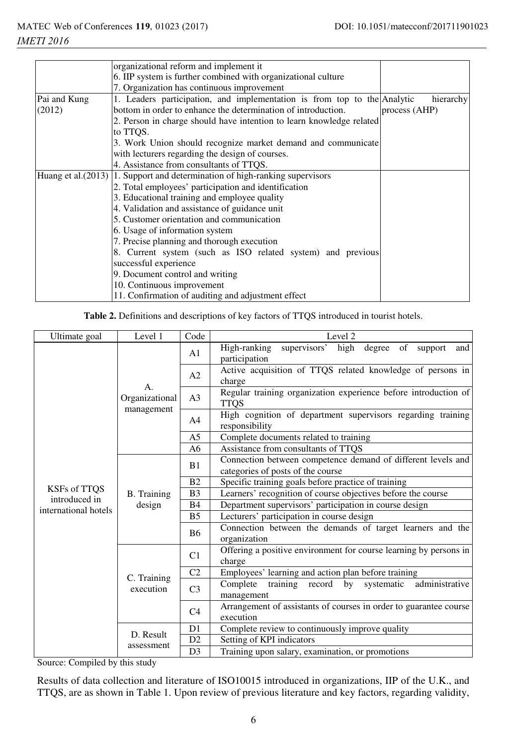|              | organizational reform and implement it                                         |               |
|--------------|--------------------------------------------------------------------------------|---------------|
|              | 6. IIP system is further combined with organizational culture                  |               |
|              | 7. Organization has continuous improvement                                     |               |
| Pai and Kung | 1. Leaders participation, and implementation is from top to the Analytic       | hierarchy     |
| (2012)       | bottom in order to enhance the determination of introduction.                  | process (AHP) |
|              | 2. Person in charge should have intention to learn knowledge related           |               |
|              | to TTOS.                                                                       |               |
|              | 3. Work Union should recognize market demand and communicate                   |               |
|              | with lecturers regarding the design of courses.                                |               |
|              | 4. Assistance from consultants of TTQS.                                        |               |
|              | Huang et al. $(2013)$ 1. Support and determination of high-ranking supervisors |               |
|              | 2. Total employees' participation and identification                           |               |
|              | 3. Educational training and employee quality                                   |               |
|              | 4. Validation and assistance of guidance unit                                  |               |
|              | 5. Customer orientation and communication                                      |               |
|              | 6. Usage of information system                                                 |               |
|              | 7. Precise planning and thorough execution                                     |               |
|              | 8. Current system (such as ISO related system) and previous                    |               |
|              | successful experience                                                          |               |
|              | 9. Document control and writing                                                |               |
|              | 10. Continuous improvement                                                     |               |
|              | 11. Confirmation of auditing and adjustment effect                             |               |

**Table 2.** Definitions and descriptions of key factors of TTQS introduced in tourist hotels.

| Ultimate goal        | Level 1                            | Code           | Level 2                                                                                           |  |  |  |
|----------------------|------------------------------------|----------------|---------------------------------------------------------------------------------------------------|--|--|--|
|                      | А.<br>Organizational<br>management | A1             | High-ranking<br>supervisors'<br>high degree of support<br>and<br>participation                    |  |  |  |
|                      |                                    | A2             | Active acquisition of TTQS related knowledge of persons in<br>charge                              |  |  |  |
|                      |                                    | A <sub>3</sub> | Regular training organization experience before introduction of<br><b>TTOS</b>                    |  |  |  |
|                      |                                    | A <sub>4</sub> | High cognition of department supervisors regarding training<br>responsibility                     |  |  |  |
|                      |                                    | A5             | Complete documents related to training                                                            |  |  |  |
|                      |                                    | A6             | Assistance from consultants of TTOS                                                               |  |  |  |
|                      | <b>B.</b> Training<br>design       | B1             | Connection between competence demand of different levels and<br>categories of posts of the course |  |  |  |
|                      |                                    | B <sub>2</sub> | Specific training goals before practice of training                                               |  |  |  |
| <b>KSFs of TTOS</b>  |                                    | B <sub>3</sub> | Learners' recognition of course objectives before the course                                      |  |  |  |
| introduced in        |                                    | <b>B</b> 4     | Department supervisors' participation in course design                                            |  |  |  |
| international hotels |                                    | B <sub>5</sub> | Lecturers' participation in course design                                                         |  |  |  |
|                      |                                    | <b>B6</b>      | Connection between the demands of target learners and the<br>organization                         |  |  |  |
|                      | C. Training<br>execution           | C1             | Offering a positive environment for course learning by persons in<br>charge                       |  |  |  |
|                      |                                    | C <sub>2</sub> | Employees' learning and action plan before training                                               |  |  |  |
|                      |                                    | C <sub>3</sub> | administrative<br>Complete<br>training record by systematic<br>management                         |  |  |  |
|                      |                                    | C <sub>4</sub> | Arrangement of assistants of courses in order to guarantee course<br>execution                    |  |  |  |
|                      | D. Result<br>assessment            | D1             | Complete review to continuously improve quality                                                   |  |  |  |
|                      |                                    | D <sub>2</sub> | Setting of KPI indicators                                                                         |  |  |  |
|                      |                                    | D <sub>3</sub> | Training upon salary, examination, or promotions                                                  |  |  |  |

Source: Compiled by this study

Results of data collection and literature of ISO10015 introduced in organizations, IIP of the U.K., and TTQS, are as shown in Table 1. Upon review of previous literature and key factors, regarding validity,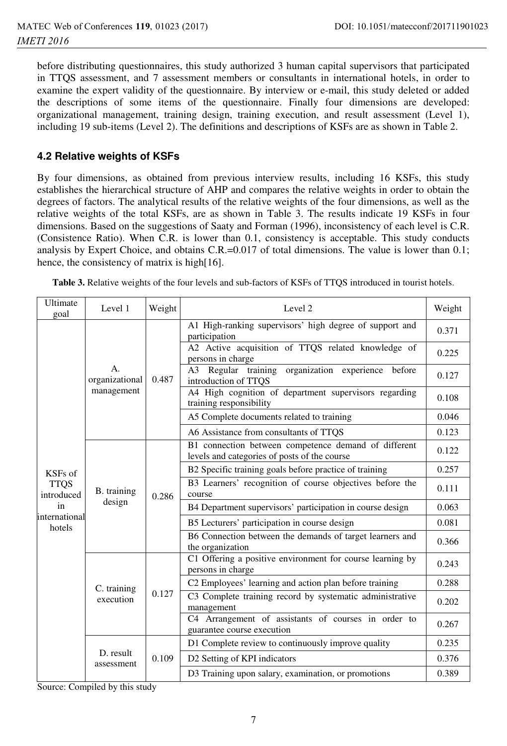before distributing questionnaires, this study authorized 3 human capital supervisors that participated in TTQS assessment, and 7 assessment members or consultants in international hotels, in order to examine the expert validity of the questionnaire. By interview or e-mail, this study deleted or added the descriptions of some items of the questionnaire. Finally four dimensions are developed: organizational management, training design, training execution, and result assessment (Level 1), including 19 sub-items (Level 2). The definitions and descriptions of KSFs are as shown in Table 2.

### **4.2 Relative weights of KSFs**

By four dimensions, as obtained from previous interview results, including 16 KSFs, this study establishes the hierarchical structure of AHP and compares the relative weights in order to obtain the degrees of factors. The analytical results of the relative weights of the four dimensions, as well as the relative weights of the total KSFs, are as shown in Table 3. The results indicate 19 KSFs in four dimensions. Based on the suggestions of Saaty and Forman (1996), inconsistency of each level is C.R. (Consistence Ratio). When C.R. is lower than 0.1, consistency is acceptable. This study conducts analysis by Expert Choice, and obtains  $C.R.=0.017$  of total dimensions. The value is lower than 0.1; hence, the consistency of matrix is high[16].

**Table 3.** Relative weights of the four levels and sub-factors of KSFs of TTQS introduced in tourist hotels.

| Ultimate<br>goal                | Level 1                            | Weight | Level 2                                                                                              | Weight |
|---------------------------------|------------------------------------|--------|------------------------------------------------------------------------------------------------------|--------|
|                                 | А.<br>organizational<br>management | 0.487  | A1 High-ranking supervisors' high degree of support and<br>participation                             | 0.371  |
|                                 |                                    |        | A2 Active acquisition of TTQS related knowledge of<br>persons in charge                              | 0.225  |
|                                 |                                    |        | A3 Regular training organization experience before<br>introduction of TTQS                           | 0.127  |
|                                 |                                    |        | A4 High cognition of department supervisors regarding<br>training responsibility                     | 0.108  |
|                                 |                                    |        | A5 Complete documents related to training                                                            | 0.046  |
|                                 |                                    |        | A6 Assistance from consultants of TTQS                                                               | 0.123  |
|                                 | B. training<br>design              | 0.286  | B1 connection between competence demand of different<br>levels and categories of posts of the course | 0.122  |
| KSFs of                         |                                    |        | B2 Specific training goals before practice of training                                               | 0.257  |
| <b>TTQS</b><br>introduced<br>in |                                    |        | B3 Learners' recognition of course objectives before the<br>course                                   | 0.111  |
|                                 |                                    |        | B4 Department supervisors' participation in course design                                            | 0.063  |
| international<br>hotels         |                                    |        | B5 Lecturers' participation in course design                                                         | 0.081  |
|                                 |                                    |        | B6 Connection between the demands of target learners and<br>the organization                         | 0.366  |
|                                 | C. training<br>execution           | 0.127  | C1 Offering a positive environment for course learning by<br>persons in charge                       | 0.243  |
|                                 |                                    |        | C2 Employees' learning and action plan before training                                               | 0.288  |
|                                 |                                    |        | C3 Complete training record by systematic administrative<br>management                               | 0.202  |
|                                 |                                    |        | C4 Arrangement of assistants of courses in order to<br>guarantee course execution                    | 0.267  |
|                                 | D. result<br>assessment            | 0.109  | D1 Complete review to continuously improve quality                                                   | 0.235  |
|                                 |                                    |        | D2 Setting of KPI indicators                                                                         | 0.376  |
|                                 |                                    |        | D3 Training upon salary, examination, or promotions                                                  | 0.389  |

Source: Compiled by this study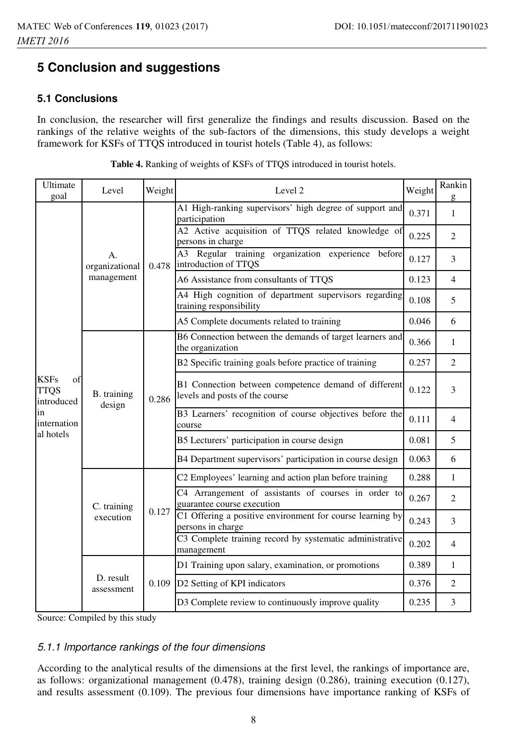# **5 Conclusion and suggestions**

### **5.1 Conclusions**

In conclusion, the researcher will first generalize the findings and results discussion. Based on the rankings of the relative weights of the sub-factors of the dimensions, this study develops a weight framework for KSFs of TTQS introduced in tourist hotels (Table 4), as follows:

| Ultimate<br>goal                                                    | Level                              | Weight | Level 2                                                                                | Weight | Rankin<br>g    |
|---------------------------------------------------------------------|------------------------------------|--------|----------------------------------------------------------------------------------------|--------|----------------|
|                                                                     | А.<br>organizational<br>management | 0.478  | A1 High-ranking supervisors' high degree of support and<br>participation               | 0.371  | 1              |
|                                                                     |                                    |        | A2 Active acquisition of TTQS related knowledge of<br>persons in charge                | 0.225  | 2              |
|                                                                     |                                    |        | A3 Regular training organization experience<br>before<br>introduction of TTQS          | 0.127  | 3              |
|                                                                     |                                    |        | A6 Assistance from consultants of TTQS                                                 | 0.123  | $\overline{4}$ |
| <b>KSFs</b><br>of<br><b>TTQS</b><br>introduced<br>in<br>internation |                                    |        | A4 High cognition of department supervisors regarding<br>training responsibility       | 0.108  | 5              |
|                                                                     |                                    |        | A5 Complete documents related to training                                              | 0.046  | 6              |
|                                                                     | B. training<br>design              | 0.286  | B6 Connection between the demands of target learners and<br>the organization           | 0.366  | 1              |
|                                                                     |                                    |        | B2 Specific training goals before practice of training                                 | 0.257  | 2              |
|                                                                     |                                    |        | B1 Connection between competence demand of different<br>levels and posts of the course | 0.122  | 3              |
|                                                                     |                                    |        | B3 Learners' recognition of course objectives before the<br>course                     | 0.111  | $\overline{4}$ |
| al hotels                                                           |                                    |        | B5 Lecturers' participation in course design                                           | 0.081  | 5              |
|                                                                     |                                    |        | B4 Department supervisors' participation in course design                              | 0.063  | 6              |
|                                                                     | C. training<br>execution           | 0.127  | C2 Employees' learning and action plan before training                                 | 0.288  | $\mathbf{1}$   |
|                                                                     |                                    |        | C4 Arrangement of assistants of courses in order to<br>guarantee course execution      | 0.267  | 2              |
|                                                                     |                                    |        | C1 Offering a positive environment for course learning by<br>persons in charge         | 0.243  | 3              |
|                                                                     |                                    |        | C3 Complete training record by systematic administrative<br>management                 | 0.202  | 4              |
|                                                                     | D. result<br>assessment            |        | D1 Training upon salary, examination, or promotions                                    | 0.389  | $\mathbf{1}$   |
|                                                                     |                                    |        | 0.109 D2 Setting of KPI indicators                                                     | 0.376  | 2              |
|                                                                     |                                    |        | D3 Complete review to continuously improve quality                                     | 0.235  | 3              |

**Table 4.** Ranking of weights of KSFs of TTQS introduced in tourist hotels.

Source: Compiled by this study

### 5.1.1 Importance rankings of the four dimensions

According to the analytical results of the dimensions at the first level, the rankings of importance are, as follows: organizational management (0.478), training design (0.286), training execution (0.127), and results assessment (0.109). The previous four dimensions have importance ranking of KSFs of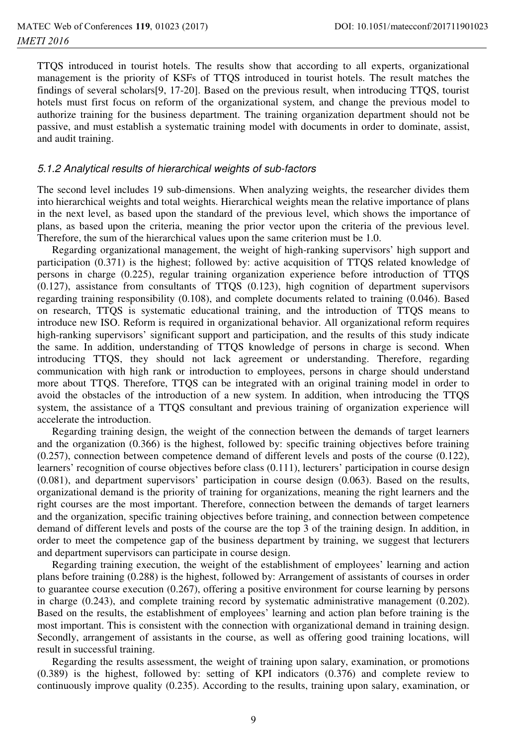TTQS introduced in tourist hotels. The results show that according to all experts, organizational management is the priority of KSFs of TTQS introduced in tourist hotels. The result matches the findings of several scholars[9, 17-20]. Based on the previous result, when introducing TTQS, tourist hotels must first focus on reform of the organizational system, and change the previous model to authorize training for the business department. The training organization department should not be passive, and must establish a systematic training model with documents in order to dominate, assist, and audit training.

#### 5.1.2 Analytical results of hierarchical weights of sub-factors

The second level includes 19 sub-dimensions. When analyzing weights, the researcher divides them into hierarchical weights and total weights. Hierarchical weights mean the relative importance of plans in the next level, as based upon the standard of the previous level, which shows the importance of plans, as based upon the criteria, meaning the prior vector upon the criteria of the previous level. Therefore, the sum of the hierarchical values upon the same criterion must be 1.0.

Regarding organizational management, the weight of high-ranking supervisors' high support and participation (0.371) is the highest; followed by: active acquisition of TTQS related knowledge of persons in charge (0.225), regular training organization experience before introduction of TTQS (0.127), assistance from consultants of TTQS (0.123), high cognition of department supervisors regarding training responsibility (0.108), and complete documents related to training (0.046). Based on research, TTQS is systematic educational training, and the introduction of TTQS means to introduce new ISO. Reform is required in organizational behavior. All organizational reform requires high-ranking supervisors' significant support and participation, and the results of this study indicate the same. In addition, understanding of TTQS knowledge of persons in charge is second. When introducing TTQS, they should not lack agreement or understanding. Therefore, regarding communication with high rank or introduction to employees, persons in charge should understand more about TTQS. Therefore, TTQS can be integrated with an original training model in order to avoid the obstacles of the introduction of a new system. In addition, when introducing the TTQS system, the assistance of a TTQS consultant and previous training of organization experience will accelerate the introduction.

Regarding training design, the weight of the connection between the demands of target learners and the organization (0.366) is the highest, followed by: specific training objectives before training (0.257), connection between competence demand of different levels and posts of the course (0.122), learners' recognition of course objectives before class (0.111), lecturers' participation in course design (0.081), and department supervisors' participation in course design (0.063). Based on the results, organizational demand is the priority of training for organizations, meaning the right learners and the right courses are the most important. Therefore, connection between the demands of target learners and the organization, specific training objectives before training, and connection between competence demand of different levels and posts of the course are the top 3 of the training design. In addition, in order to meet the competence gap of the business department by training, we suggest that lecturers and department supervisors can participate in course design.

Regarding training execution, the weight of the establishment of employees' learning and action plans before training (0.288) is the highest, followed by: Arrangement of assistants of courses in order to guarantee course execution (0.267), offering a positive environment for course learning by persons in charge (0.243), and complete training record by systematic administrative management (0.202). Based on the results, the establishment of employees' learning and action plan before training is the most important. This is consistent with the connection with organizational demand in training design. Secondly, arrangement of assistants in the course, as well as offering good training locations, will result in successful training.

Regarding the results assessment, the weight of training upon salary, examination, or promotions (0.389) is the highest, followed by: setting of KPI indicators (0.376) and complete review to continuously improve quality (0.235). According to the results, training upon salary, examination, or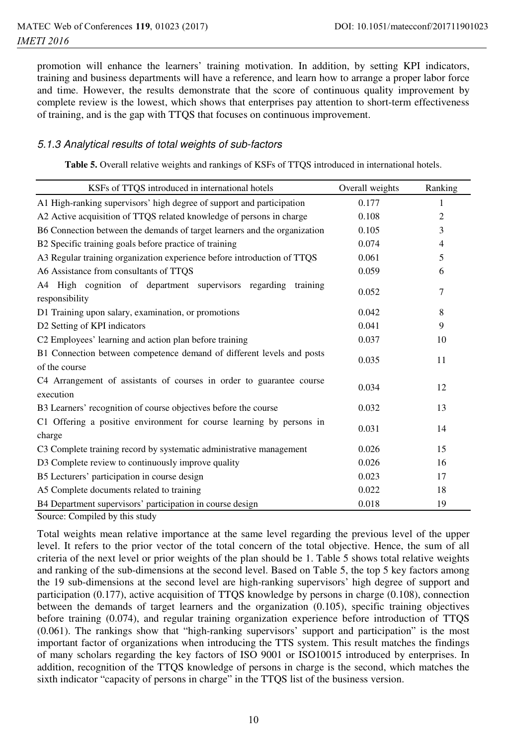promotion will enhance the learners' training motivation. In addition, by setting KPI indicators, training and business departments will have a reference, and learn how to arrange a proper labor force and time. However, the results demonstrate that the score of continuous quality improvement by complete review is the lowest, which shows that enterprises pay attention to short-term effectiveness of training, and is the gap with TTQS that focuses on continuous improvement.

### 5.1.3 Analytical results of total weights of sub-factors

**Table 5.** Overall relative weights and rankings of KSFs of TTQS introduced in international hotels.

| KSFs of TTQS introduced in international hotels                                   | Overall weights | Ranking |
|-----------------------------------------------------------------------------------|-----------------|---------|
| A1 High-ranking supervisors' high degree of support and participation             | 0.177           | 1       |
| A2 Active acquisition of TTQS related knowledge of persons in charge              | 0.108           | 2       |
| B6 Connection between the demands of target learners and the organization         | 0.105           | 3       |
| B2 Specific training goals before practice of training                            | 0.074           | 4       |
| A3 Regular training organization experience before introduction of TTQS           | 0.061           | 5       |
| A6 Assistance from consultants of TTQS                                            | 0.059           | 6       |
| A4 High cognition of department supervisors regarding training<br>responsibility  | 0.052           | 7       |
| D1 Training upon salary, examination, or promotions                               | 0.042           | 8       |
| D2 Setting of KPI indicators                                                      | 0.041           | 9       |
| C2 Employees' learning and action plan before training                            | 0.037           | 10      |
| B1 Connection between competence demand of different levels and posts             | 0.035           | 11      |
| of the course                                                                     |                 |         |
| C4 Arrangement of assistants of courses in order to guarantee course<br>execution | 0.034           | 12      |
| B3 Learners' recognition of course objectives before the course                   | 0.032           | 13      |
| C1 Offering a positive environment for course learning by persons in<br>charge    | 0.031           | 14      |
| C3 Complete training record by systematic administrative management               | 0.026           | 15      |
| D3 Complete review to continuously improve quality                                | 0.026           | 16      |
| B5 Lecturers' participation in course design                                      | 0.023           | 17      |
| A5 Complete documents related to training                                         | 0.022           | 18      |
| B4 Department supervisors' participation in course design                         | 0.018           | 19      |

Source: Compiled by this study

Total weights mean relative importance at the same level regarding the previous level of the upper level. It refers to the prior vector of the total concern of the total objective. Hence, the sum of all criteria of the next level or prior weights of the plan should be 1. Table 5 shows total relative weights and ranking of the sub-dimensions at the second level. Based on Table 5, the top 5 key factors among the 19 sub-dimensions at the second level are high-ranking supervisors' high degree of support and participation (0.177), active acquisition of TTQS knowledge by persons in charge (0.108), connection between the demands of target learners and the organization (0.105), specific training objectives before training (0.074), and regular training organization experience before introduction of TTQS (0.061). The rankings show that "high-ranking supervisors' support and participation" is the most important factor of organizations when introducing the TTS system. This result matches the findings of many scholars regarding the key factors of ISO 9001 or ISO10015 introduced by enterprises. In addition, recognition of the TTQS knowledge of persons in charge is the second, which matches the sixth indicator "capacity of persons in charge" in the TTQS list of the business version.